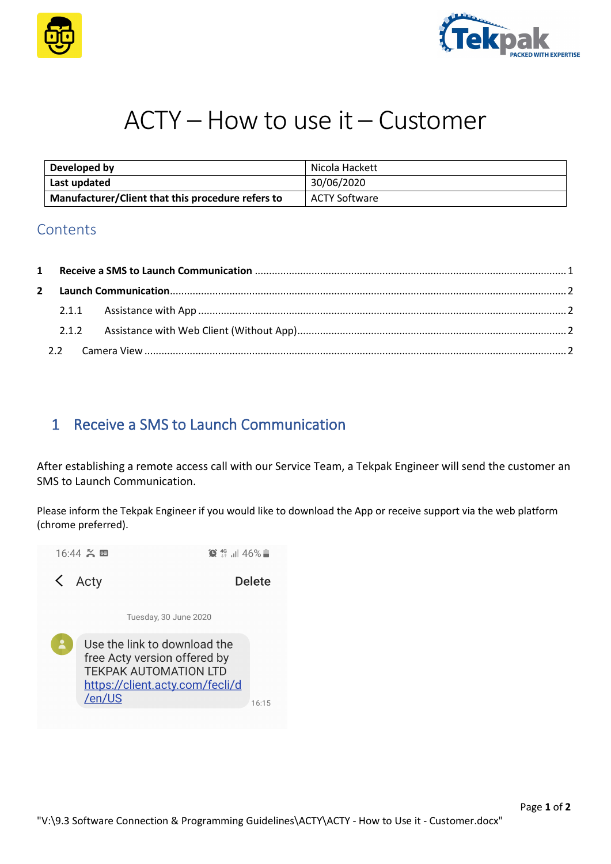



# ACTY – How to use it – Customer

| Developed by                                      | Nicola Hackett |
|---------------------------------------------------|----------------|
| Last updated                                      | 30/06/2020     |
| Manufacturer/Client that this procedure refers to | ACTY Software  |

### **Contents**

### <span id="page-0-0"></span>1 Receive a SMS to Launch Communication

After establishing a remote access call with our Service Team, a Tekpak Engineer will send the customer an SMS to Launch Communication.

Please inform the Tekpak Engineer if you would like to download the App or receive support via the web platform (chrome preferred).